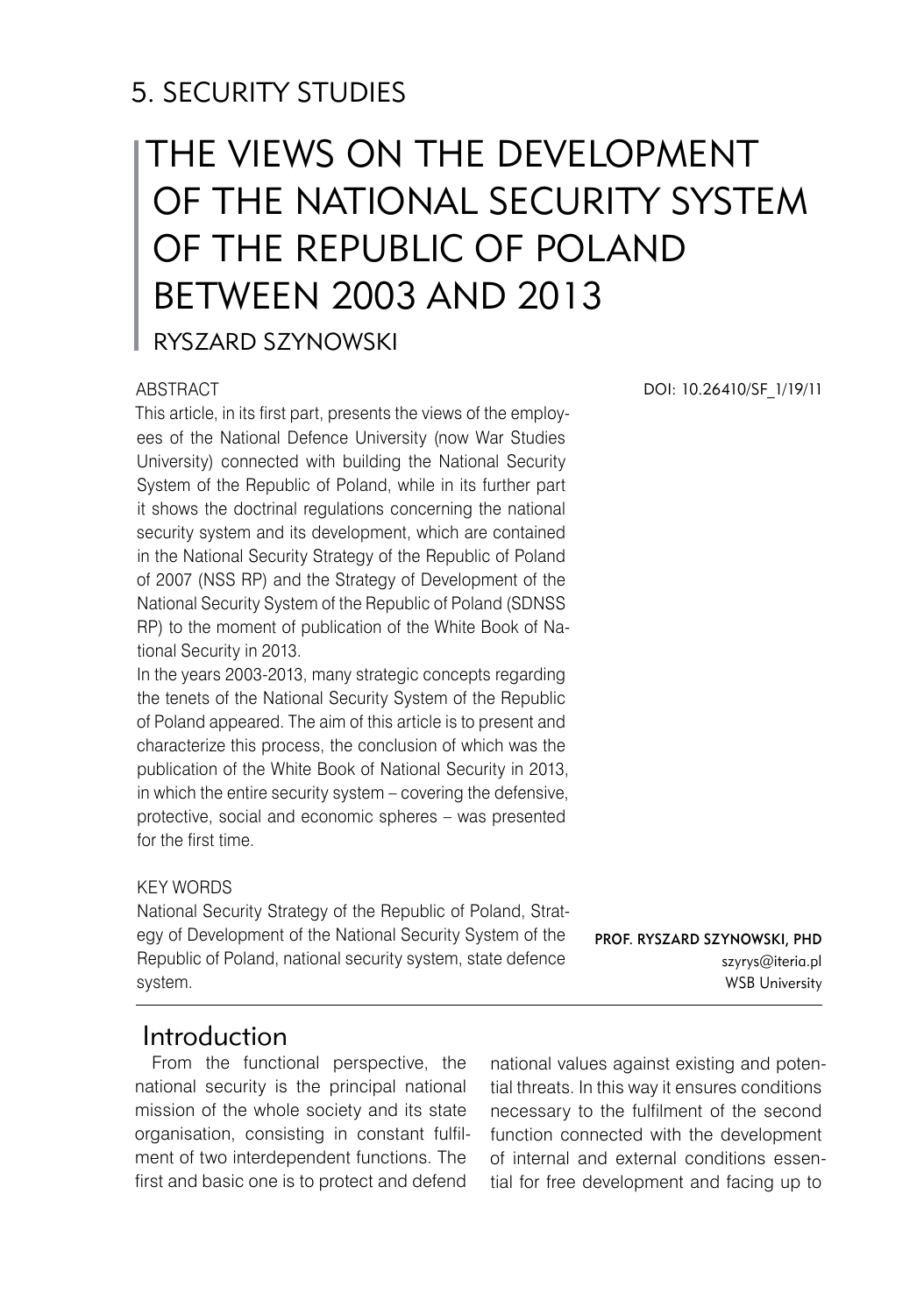## 5. SECURITY STUDIES

# The Views on the Development of the National Security System of the Republic of Poland between 2003 and 2013

Ryszard SZYNOWSKI

#### **ABSTRACT**

This article, in its first part, presents the views of the employees of the National Defence University (now War Studies University) connected with building the National Security System of the Republic of Poland, while in its further part it shows the doctrinal regulations concerning the national security system and its development, which are contained in the National Security Strategy of the Republic of Poland of 2007 (NSS RP) and the Strategy of Development of the National Security System of the Republic of Poland (SDNSS RP) to the moment of publication of the White Book of National Security in 2013.

In the years 2003-2013, many strategic concepts regarding the tenets of the National Security System of the Republic of Poland appeared. The aim of this article is to present and characterize this process, the conclusion of which was the publication of the White Book of National Security in 2013, in which the entire security system – covering the defensive, protective, social and economic spheres – was presented for the first time.

#### KEY WORDS

National Security Strategy of the Republic of Poland, Strategy of Development of the National Security System of the Republic of Poland, national security system, state defence system.

Prof. Ryszard SZYNOWSKI, PhD szyrys@iteria.pl WSB University

### Introduction

From the functional perspective, the national security is the principal national mission of the whole society and its state organisation, consisting in constant fulfilment of two interdependent functions. The first and basic one is to protect and defend

national values against existing and potential threats. In this way it ensures conditions necessary to the fulfilment of the second function connected with the development of internal and external conditions essential for free development and facing up to

DOI: 10.26410/SF\_1/19/11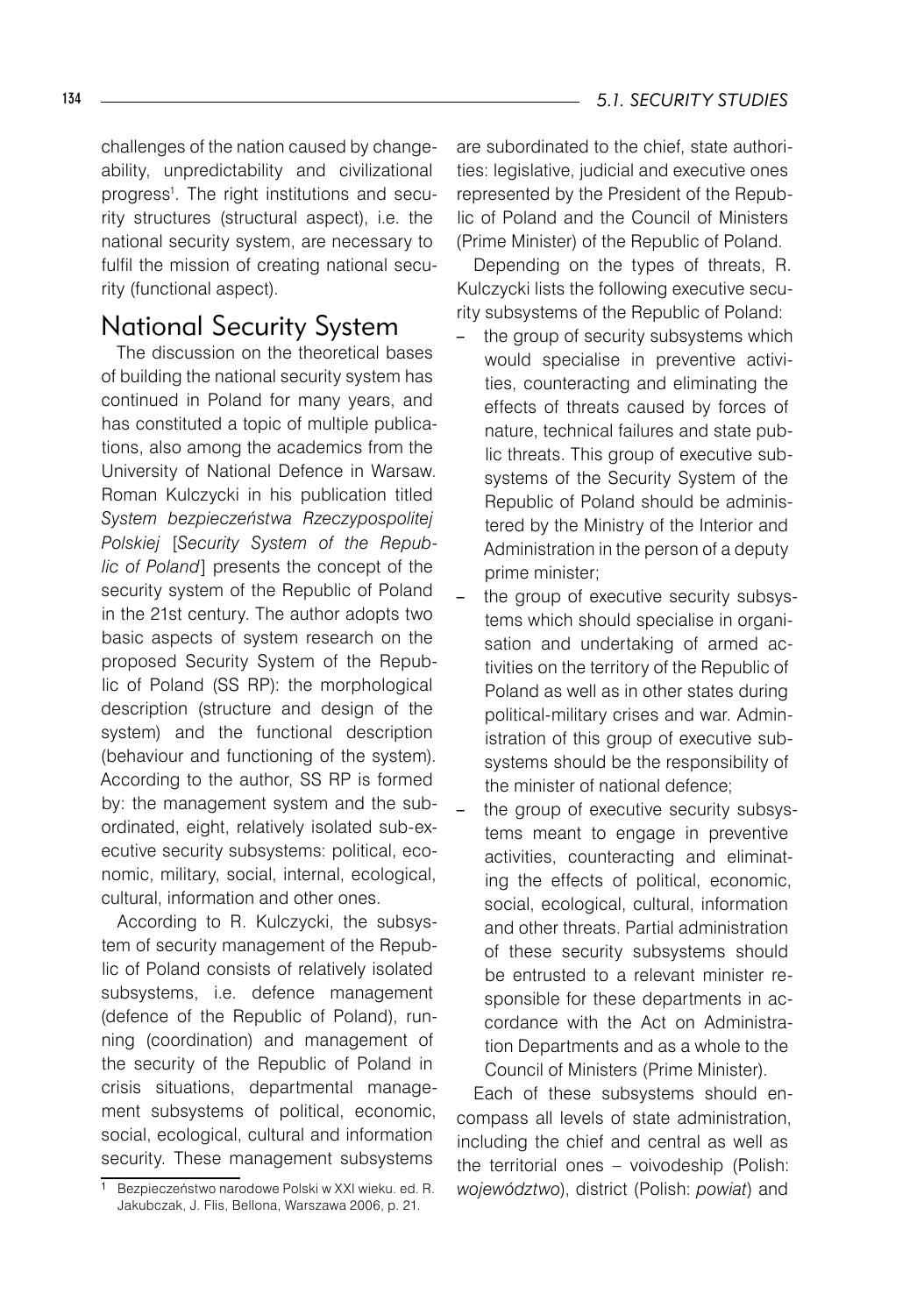challenges of the nation caused by changeability, unpredictability and civilizational progress1 . The right institutions and security structures (structural aspect), i.e. the national security system, are necessary to fulfil the mission of creating national security (functional aspect).

## National Security System

The discussion on the theoretical bases of building the national security system has continued in Poland for many years, and has constituted a topic of multiple publications, also among the academics from the University of National Defence in Warsaw. Roman Kulczycki in his publication titled *System bezpieczeństwa Rzeczypospolitej Polskiej* [*Security System of the Republic of Poland*] presents the concept of the security system of the Republic of Poland in the 21st century. The author adopts two basic aspects of system research on the proposed Security System of the Republic of Poland (SS RP): the morphological description (structure and design of the system) and the functional description (behaviour and functioning of the system). According to the author, SS RP is formed by: the management system and the subordinated, eight, relatively isolated sub-executive security subsystems: political, economic, military, social, internal, ecological, cultural, information and other ones.

According to R. Kulczycki, the subsystem of security management of the Republic of Poland consists of relatively isolated subsystems, i.e. defence management (defence of the Republic of Poland), running (coordination) and management of the security of the Republic of Poland in crisis situations, departmental management subsystems of political, economic, social, ecological, cultural and information security. These management subsystems

are subordinated to the chief, state authorities: legislative, judicial and executive ones represented by the President of the Republic of Poland and the Council of Ministers (Prime Minister) of the Republic of Poland.

Depending on the types of threats, R. Kulczycki lists the following executive security subsystems of the Republic of Poland:

- the group of security subsystems which would specialise in preventive activities, counteracting and eliminating the effects of threats caused by forces of nature, technical failures and state public threats. This group of executive subsystems of the Security System of the Republic of Poland should be administered by the Ministry of the Interior and Administration in the person of a deputy prime minister;
- the group of executive security subsystems which should specialise in organisation and undertaking of armed activities on the territory of the Republic of Poland as well as in other states during political-military crises and war. Administration of this group of executive subsystems should be the responsibility of the minister of national defence;
- the group of executive security subsystems meant to engage in preventive activities, counteracting and eliminating the effects of political, economic, social, ecological, cultural, information and other threats. Partial administration of these security subsystems should be entrusted to a relevant minister responsible for these departments in accordance with the Act on Administration Departments and as a whole to the Council of Ministers (Prime Minister).

Each of these subsystems should encompass all levels of state administration, including the chief and central as well as the territorial ones – voivodeship (Polish: *województwo*), district (Polish: *powiat*) and

Bezpieczeństwo narodowe Polski w XXI wieku. ed. R. Jakubczak, J. Flis, Bellona, Warszawa 2006, p. 21.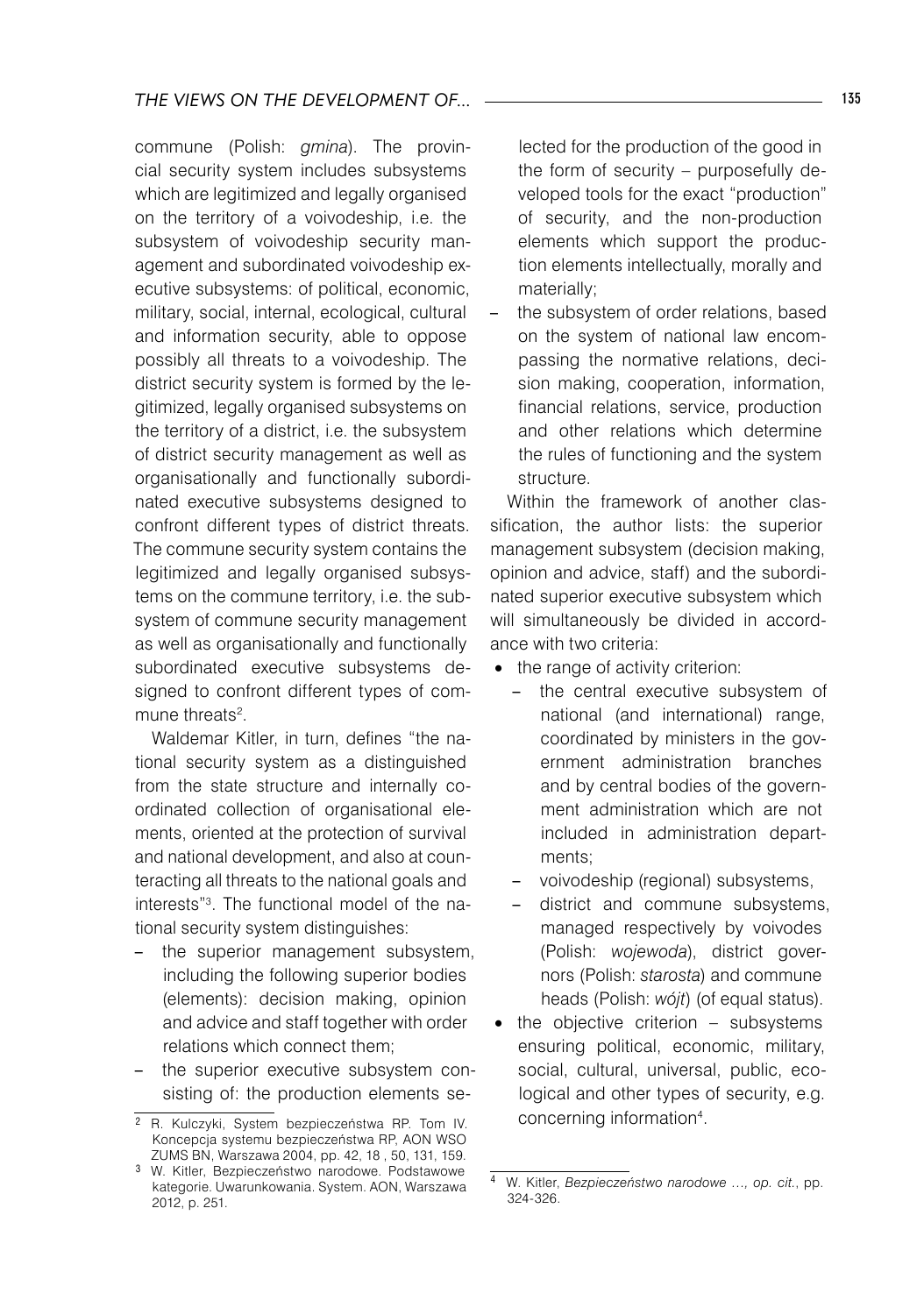commune (Polish: *gmina*). The provincial security system includes subsystems which are legitimized and legally organised on the territory of a voivodeship, i.e. the subsystem of voivodeship security management and subordinated voivodeship executive subsystems: of political, economic, military, social, internal, ecological, cultural and information security, able to oppose possibly all threats to a voivodeship. The district security system is formed by the legitimized, legally organised subsystems on the territory of a district, i.e. the subsystem of district security management as well as organisationally and functionally subordinated executive subsystems designed to confront different types of district threats. The commune security system contains the legitimized and legally organised subsystems on the commune territory, i.e. the subsystem of commune security management as well as organisationally and functionally subordinated executive subsystems designed to confront different types of commune threats<sup>2</sup>.

Waldemar Kitler, in turn, defines "the national security system as a distinguished from the state structure and internally coordinated collection of organisational elements, oriented at the protection of survival and national development, and also at counteracting all threats to the national goals and interests"3 . The functional model of the national security system distinguishes:

- – the superior management subsystem, including the following superior bodies (elements): decision making, opinion and advice and staff together with order relations which connect them;
- – the superior executive subsystem consisting of: the production elements se-

lected for the production of the good in the form of security – purposefully developed tools for the exact "production" of security, and the non-production elements which support the production elements intellectually, morally and materially;

the subsystem of order relations, based on the system of national law encompassing the normative relations, decision making, cooperation, information, financial relations, service, production and other relations which determine the rules of functioning and the system structure.

Within the framework of another classification, the author lists: the superior management subsystem (decision making, opinion and advice, staff) and the subordinated superior executive subsystem which will simultaneously be divided in accordance with two criteria:

- the range of activity criterion:
	- – the central executive subsystem of national (and international) range, coordinated by ministers in the government administration branches and by central bodies of the government administration which are not included in administration departments;
	- voivodeship (regional) subsystems,
	- district and commune subsystems, managed respectively by voivodes (Polish: *wojewoda*), district governors (Polish: *starosta*) and commune heads (Polish: *wójt*) (of equal status).
- the objective criterion subsystems ensuring political, economic, military, social, cultural, universal, public, ecological and other types of security, e.g. concerning information<sup>4</sup>.

R. Kulczyki, System bezpieczeństwa RP. Tom IV. Koncepcja systemu bezpieczeństwa RP, AON WSO ZUMS BN, Warszawa 2004, pp. 42, 18 , 50, 131, 159.

W. Kitler, Bezpieczeństwo narodowe. Podstawowe kategorie. Uwarunkowania. System. AON, Warszawa 2012, p. 251.

W. Kitler, *Bezpieczeństwo narodowe …, op. cit.*, pp. 324-326.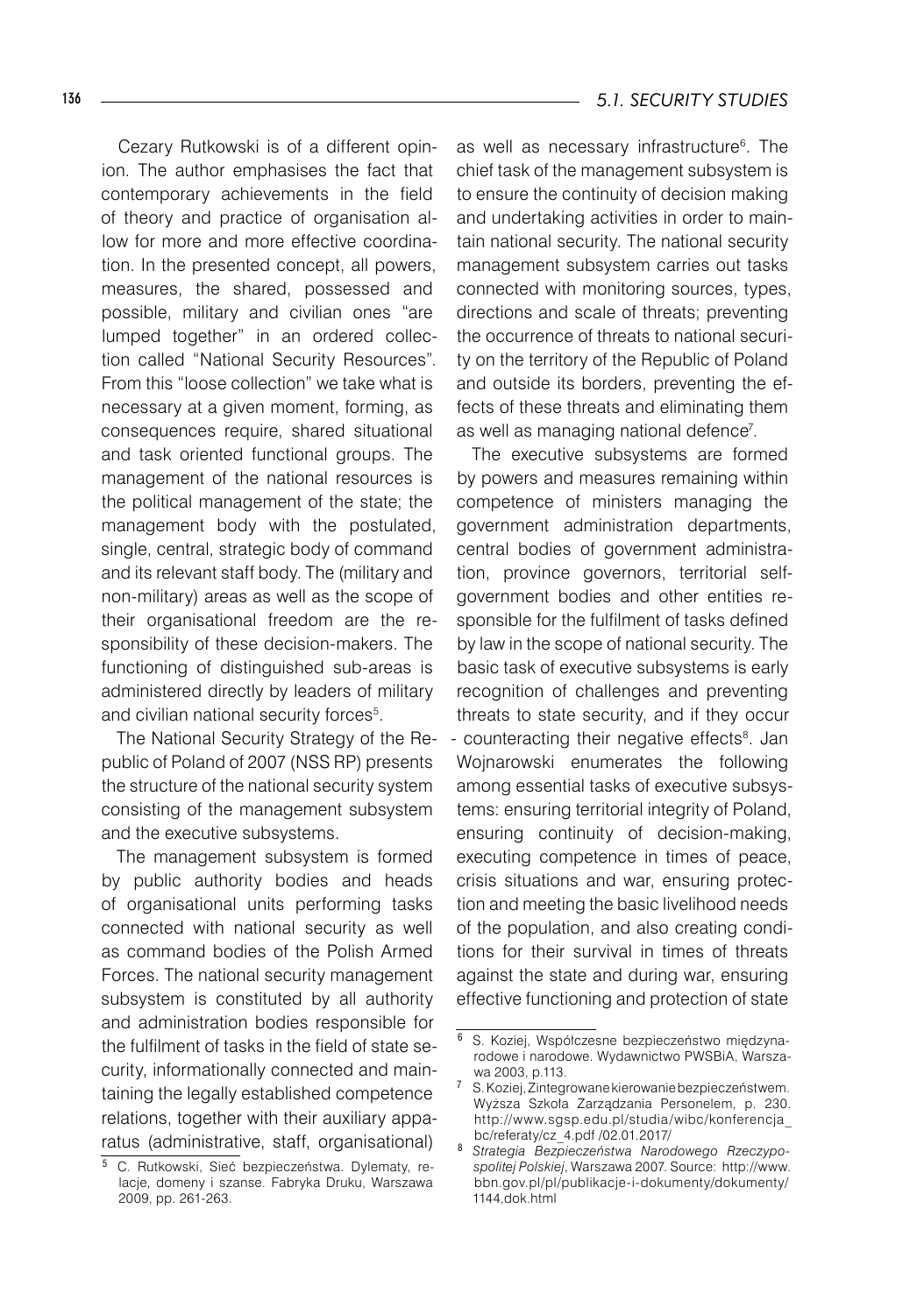Cezary Rutkowski is of a different opinion. The author emphasises the fact that contemporary achievements in the field of theory and practice of organisation allow for more and more effective coordination. In the presented concept, all powers, measures, the shared, possessed and possible, military and civilian ones "are lumped together" in an ordered collection called "National Security Resources". From this "loose collection" we take what is necessary at a given moment, forming, as consequences require, shared situational and task oriented functional groups. The management of the national resources is the political management of the state; the management body with the postulated, single, central, strategic body of command and its relevant staff body. The (military and non-military) areas as well as the scope of their organisational freedom are the responsibility of these decision-makers. The functioning of distinguished sub-areas is administered directly by leaders of military and civilian national security forces<sup>5</sup>.

The National Security Strategy of the Republic of Poland of 2007 (NSS RP) presents the structure of the national security system consisting of the management subsystem and the executive subsystems.

The management subsystem is formed by public authority bodies and heads of organisational units performing tasks connected with national security as well as command bodies of the Polish Armed Forces. The national security management subsystem is constituted by all authority and administration bodies responsible for the fulfilment of tasks in the field of state security, informationally connected and maintaining the legally established competence relations, together with their auxiliary apparatus (administrative, staff, organisational)

as well as necessary infrastructure<sup>6</sup>. The chief task of the management subsystem is to ensure the continuity of decision making and undertaking activities in order to maintain national security. The national security management subsystem carries out tasks connected with monitoring sources, types, directions and scale of threats; preventing the occurrence of threats to national security on the territory of the Republic of Poland and outside its borders, preventing the effects of these threats and eliminating them as well as managing national defence<sup>7</sup> .

The executive subsystems are formed by powers and measures remaining within competence of ministers managing the government administration departments, central bodies of government administration, province governors, territorial selfgovernment bodies and other entities responsible for the fulfilment of tasks defined by law in the scope of national security. The basic task of executive subsystems is early recognition of challenges and preventing threats to state security, and if they occur - counteracting their negative effects<sup>8</sup>. Jan Wojnarowski enumerates the following among essential tasks of executive subsystems: ensuring territorial integrity of Poland, ensuring continuity of decision-making, executing competence in times of peace, crisis situations and war, ensuring protection and meeting the basic livelihood needs of the population, and also creating conditions for their survival in times of threats against the state and during war, ensuring effective functioning and protection of state

<sup>&</sup>lt;sup>5</sup> C. Rutkowski, Sieć bezpieczeństwa. Dylematy, relacje, domeny i szanse. Fabryka Druku, Warszawa 2009, pp. 261-263.

<sup>6</sup> S. Koziej, Współczesne bezpieczeństwo międzynarodowe i narodowe. Wydawnictwo PWSBiA, Warszawa 2003, p.113.

S. Koziej, Zintegrowane kierowanie bezpieczeństwem. Wyższa Szkoła Zarządzania Personelem, p. 230. http://www.sgsp.edu.pl/studia/wibc/konferencja\_ bc/referaty/cz\_4.pdf /02.01.2017/

*Strategia Bezpieczeństwa Narodowego Rzeczypospolitej Polskiej*, Warszawa 2007. Source: http://www. bbn.gov.pl/pl/publikacje-i-dokumenty/dokumenty/ 1144,dok.html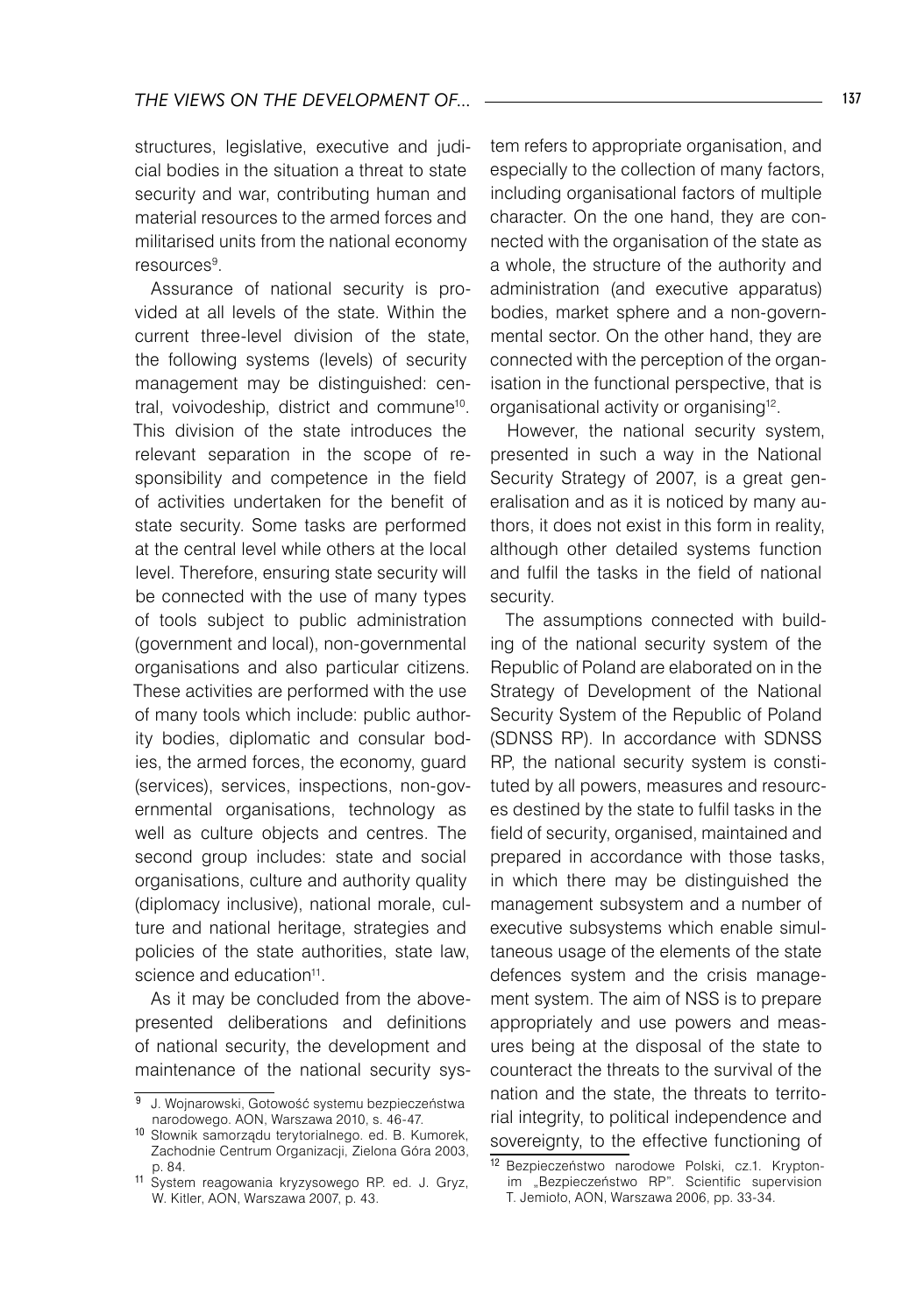structures, legislative, executive and judicial bodies in the situation a threat to state security and war, contributing human and material resources to the armed forces and militarised units from the national economy resources<sup>9</sup>.

Assurance of national security is provided at all levels of the state. Within the current three-level division of the state, the following systems (levels) of security management may be distinguished: central, voivodeship, district and commune10. This division of the state introduces the relevant separation in the scope of responsibility and competence in the field of activities undertaken for the benefit of state security. Some tasks are performed at the central level while others at the local level. Therefore, ensuring state security will be connected with the use of many types of tools subject to public administration (government and local), non-governmental organisations and also particular citizens. These activities are performed with the use of many tools which include: public authority bodies, diplomatic and consular bodies, the armed forces, the economy, guard (services), services, inspections, non-governmental organisations, technology as well as culture objects and centres. The second group includes: state and social organisations, culture and authority quality (diplomacy inclusive), national morale, culture and national heritage, strategies and policies of the state authorities, state law, science and education<sup>11</sup>.

As it may be concluded from the abovepresented deliberations and definitions of national security, the development and maintenance of the national security system refers to appropriate organisation, and especially to the collection of many factors, including organisational factors of multiple character. On the one hand, they are connected with the organisation of the state as a whole, the structure of the authority and administration (and executive apparatus) bodies, market sphere and a non-governmental sector. On the other hand, they are connected with the perception of the organisation in the functional perspective, that is organisational activity or organising12.

However, the national security system, presented in such a way in the National Security Strategy of 2007, is a great generalisation and as it is noticed by many authors, it does not exist in this form in reality, although other detailed systems function and fulfil the tasks in the field of national security.

The assumptions connected with building of the national security system of the Republic of Poland are elaborated on in the Strategy of Development of the National Security System of the Republic of Poland (SDNSS RP). In accordance with SDNSS RP, the national security system is constituted by all powers, measures and resources destined by the state to fulfil tasks in the field of security, organised, maintained and prepared in accordance with those tasks, in which there may be distinguished the management subsystem and a number of executive subsystems which enable simultaneous usage of the elements of the state defences system and the crisis management system. The aim of NSS is to prepare appropriately and use powers and measures being at the disposal of the state to counteract the threats to the survival of the nation and the state, the threats to territorial integrity, to political independence and sovereignty, to the effective functioning of

<sup>9</sup> J. Wojnarowski, Gotowość systemu bezpieczeństwa narodowego. AON, Warszawa 2010, s. 46-47.

<sup>10</sup> Słownik samorządu terytorialnego. ed. B. Kumorek, Zachodnie Centrum Organizacji, Zielona Góra 2003, p. 84.

<sup>11</sup> System reagowania kryzysowego RP. ed. J. Gryz, W. Kitler, AON, Warszawa 2007, p. 43.

<sup>12</sup> Bezpieczeństwo narodowe Polski, cz.1. Kryptonim "Bezpieczeństwo RP". Scientific supervision T. Jemioło, AON, Warszawa 2006, pp. 33-34.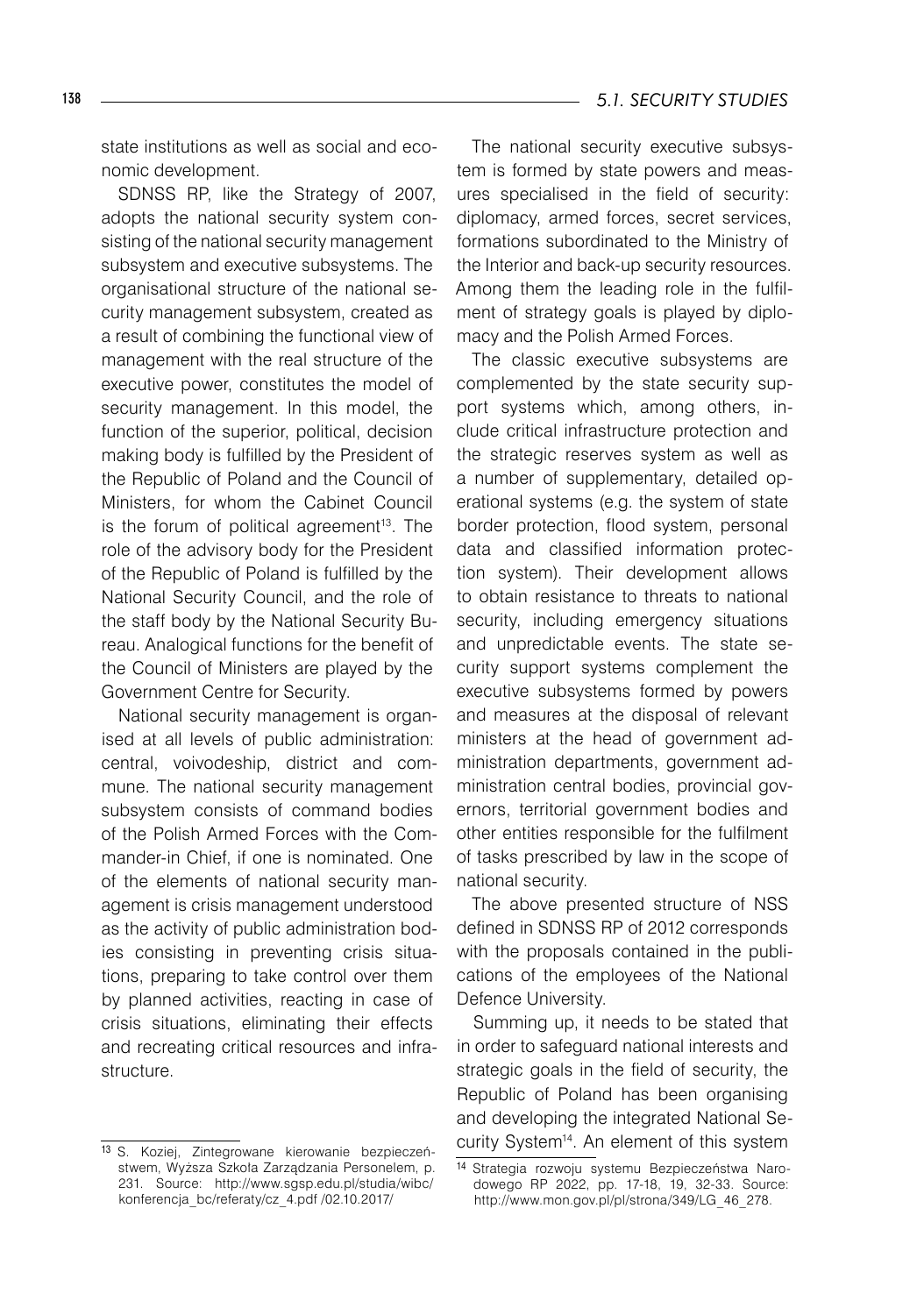state institutions as well as social and economic development.

SDNSS RP, like the Strategy of 2007, adopts the national security system consisting of the national security management subsystem and executive subsystems. The organisational structure of the national security management subsystem, created as a result of combining the functional view of management with the real structure of the executive power, constitutes the model of security management. In this model, the function of the superior, political, decision making body is fulfilled by the President of the Republic of Poland and the Council of Ministers, for whom the Cabinet Council is the forum of political agreement<sup>13</sup>. The role of the advisory body for the President of the Republic of Poland is fulfilled by the National Security Council, and the role of the staff body by the National Security Bureau. Analogical functions for the benefit of the Council of Ministers are played by the Government Centre for Security.

National security management is organised at all levels of public administration: central, voivodeship, district and commune. The national security management subsystem consists of command bodies of the Polish Armed Forces with the Commander-in Chief, if one is nominated. One of the elements of national security management is crisis management understood as the activity of public administration bodies consisting in preventing crisis situations, preparing to take control over them by planned activities, reacting in case of crisis situations, eliminating their effects and recreating critical resources and infrastructure.

The national security executive subsystem is formed by state powers and measures specialised in the field of security: diplomacy, armed forces, secret services, formations subordinated to the Ministry of the Interior and back-up security resources. Among them the leading role in the fulfilment of strategy goals is played by diplomacy and the Polish Armed Forces.

The classic executive subsystems are complemented by the state security support systems which, among others, include critical infrastructure protection and the strategic reserves system as well as a number of supplementary, detailed operational systems (e.g. the system of state border protection, flood system, personal data and classified information protection system). Their development allows to obtain resistance to threats to national security, including emergency situations and unpredictable events. The state security support systems complement the executive subsystems formed by powers and measures at the disposal of relevant ministers at the head of government administration departments, government administration central bodies, provincial governors, territorial government bodies and other entities responsible for the fulfilment of tasks prescribed by law in the scope of national security.

The above presented structure of NSS defined in SDNSS RP of 2012 corresponds with the proposals contained in the publications of the employees of the National Defence University.

Summing up, it needs to be stated that in order to safeguard national interests and strategic goals in the field of security, the Republic of Poland has been organising and developing the integrated National Security System<sup>14</sup>. An element of this system

<sup>13</sup> S. Koziej, Zintegrowane kierowanie bezpieczeństwem, Wyższa Szkoła Zarządzania Personelem, p. 231. Source: http://www.sgsp.edu.pl/studia/wibc/ konferencja\_bc/referaty/cz\_4.pdf /02.10.2017/

<sup>14</sup> Strategia rozwoju systemu Bezpieczeństwa Narodowego RP 2022, pp. 17-18, 19, 32-33. Source: http://www.mon.gov.pl/pl/strona/349/LG\_46\_278.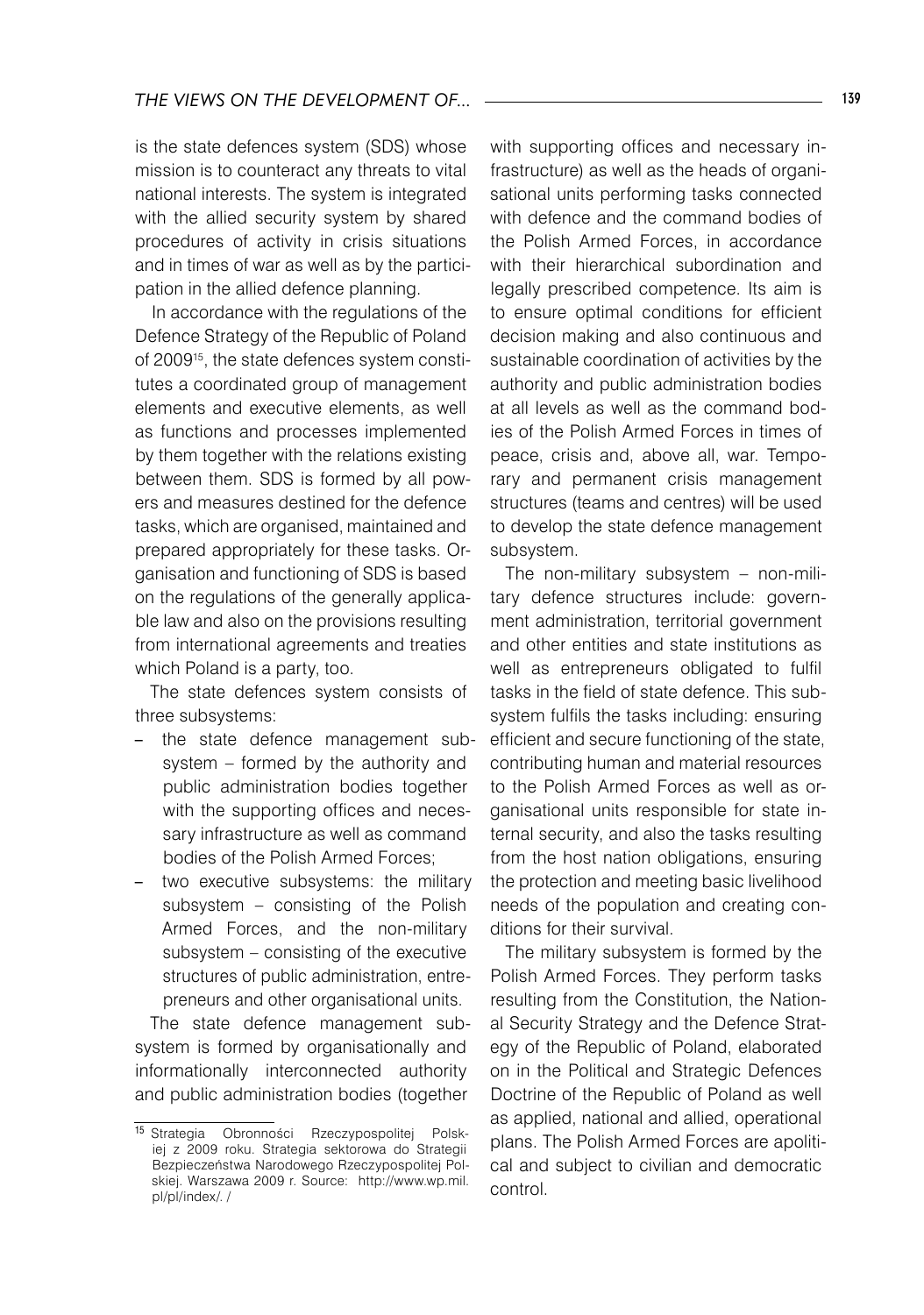is the state defences system (SDS) whose mission is to counteract any threats to vital national interests. The system is integrated with the allied security system by shared procedures of activity in crisis situations and in times of war as well as by the participation in the allied defence planning.

In accordance with the regulations of the Defence Strategy of the Republic of Poland of 2009<sup>15</sup>, the state defences system constitutes a coordinated group of management elements and executive elements, as well as functions and processes implemented by them together with the relations existing between them. SDS is formed by all powers and measures destined for the defence tasks, which are organised, maintained and prepared appropriately for these tasks. Organisation and functioning of SDS is based on the regulations of the generally applicable law and also on the provisions resulting from international agreements and treaties which Poland is a party, too.

The state defences system consists of three subsystems:

- the state defence management subsystem – formed by the authority and public administration bodies together with the supporting offices and necessary infrastructure as well as command bodies of the Polish Armed Forces;
- two executive subsystems: the military subsystem – consisting of the Polish Armed Forces, and the non-military subsystem – consisting of the executive structures of public administration, entrepreneurs and other organisational units.

The state defence management subsystem is formed by organisationally and informationally interconnected authority and public administration bodies (together

with supporting offices and necessary infrastructure) as well as the heads of organisational units performing tasks connected with defence and the command bodies of the Polish Armed Forces, in accordance with their hierarchical subordination and legally prescribed competence. Its aim is to ensure optimal conditions for efficient decision making and also continuous and sustainable coordination of activities by the authority and public administration bodies at all levels as well as the command bodies of the Polish Armed Forces in times of peace, crisis and, above all, war. Temporary and permanent crisis management structures (teams and centres) will be used to develop the state defence management subsystem.

The non-military subsystem – non-military defence structures include: government administration, territorial government and other entities and state institutions as well as entrepreneurs obligated to fulfil tasks in the field of state defence. This subsystem fulfils the tasks including: ensuring efficient and secure functioning of the state, contributing human and material resources to the Polish Armed Forces as well as organisational units responsible for state internal security, and also the tasks resulting from the host nation obligations, ensuring the protection and meeting basic livelihood needs of the population and creating conditions for their survival.

The military subsystem is formed by the Polish Armed Forces. They perform tasks resulting from the Constitution, the National Security Strategy and the Defence Strategy of the Republic of Poland, elaborated on in the Political and Strategic Defences Doctrine of the Republic of Poland as well as applied, national and allied, operational plans. The Polish Armed Forces are apolitical and subject to civilian and democratic control.

<sup>15</sup> Strategia Obronności Rzeczypospolitej Polskiej z 2009 roku. Strategia sektorowa do Strategii Bezpieczeństwa Narodowego Rzeczypospolitej Polskiej. Warszawa 2009 r. Source: http://www.wp.mil. pl/pl/index/. /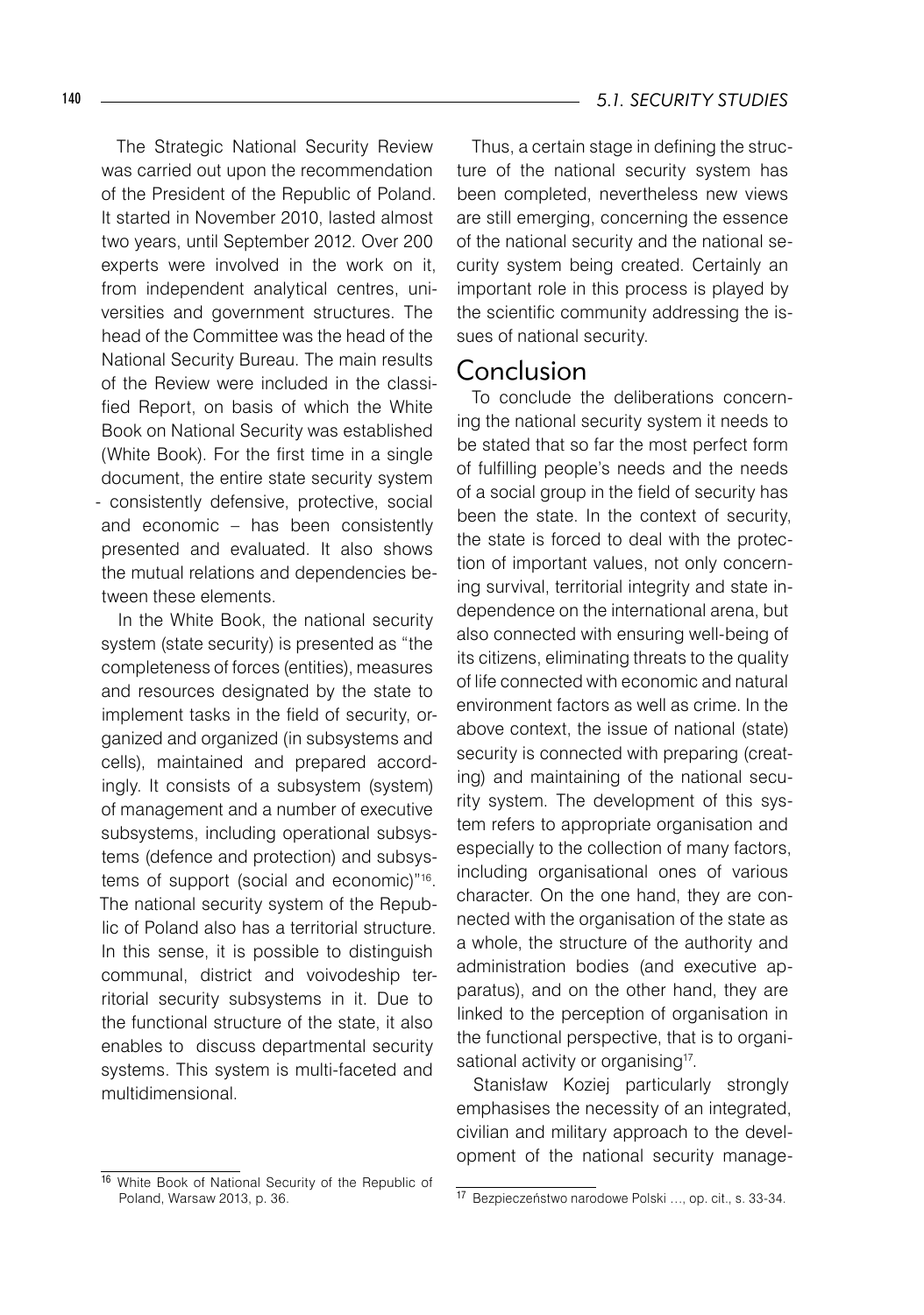The Strategic National Security Review was carried out upon the recommendation of the President of the Republic of Poland. It started in November 2010, lasted almost two years, until September 2012. Over 200 experts were involved in the work on it, from independent analytical centres, universities and government structures. The head of the Committee was the head of the National Security Bureau. The main results of the Review were included in the classified Report, on basis of which the White Book on National Security was established (White Book). For the first time in a single document, the entire state security system - consistently defensive, protective, social and economic – has been consistently presented and evaluated. It also shows the mutual relations and dependencies between these elements.

In the White Book, the national security system (state security) is presented as "the completeness of forces (entities), measures and resources designated by the state to implement tasks in the field of security, organized and organized (in subsystems and cells), maintained and prepared accordingly. It consists of a subsystem (system) of management and a number of executive subsystems, including operational subsystems (defence and protection) and subsystems of support (social and economic)"<sup>16</sup>. The national security system of the Republic of Poland also has a territorial structure. In this sense, it is possible to distinguish communal, district and voivodeship territorial security subsystems in it. Due to the functional structure of the state, it also enables to discuss departmental security systems. This system is multi-faceted and multidimensional.

Thus, a certain stage in defining the structure of the national security system has been completed, nevertheless new views are still emerging, concerning the essence of the national security and the national security system being created. Certainly an important role in this process is played by the scientific community addressing the issues of national security.

#### Conclusion

To conclude the deliberations concerning the national security system it needs to be stated that so far the most perfect form of fulfilling people's needs and the needs of a social group in the field of security has been the state. In the context of security, the state is forced to deal with the protection of important values, not only concerning survival, territorial integrity and state independence on the international arena, but also connected with ensuring well-being of its citizens, eliminating threats to the quality of life connected with economic and natural environment factors as well as crime. In the above context, the issue of national (state) security is connected with preparing (creating) and maintaining of the national security system. The development of this system refers to appropriate organisation and especially to the collection of many factors, including organisational ones of various character. On the one hand, they are connected with the organisation of the state as a whole, the structure of the authority and administration bodies (and executive apparatus), and on the other hand, they are linked to the perception of organisation in the functional perspective, that is to organisational activity or organising<sup>17</sup>.

Stanisław Koziej particularly strongly emphasises the necessity of an integrated, civilian and military approach to the development of the national security manage-

<sup>16</sup> White Book of National Security of the Republic of Poland, Warsaw 2013, p. 36.

<sup>17</sup> Bezpieczeństwo narodowe Polski …, op. cit., s. 33-34.